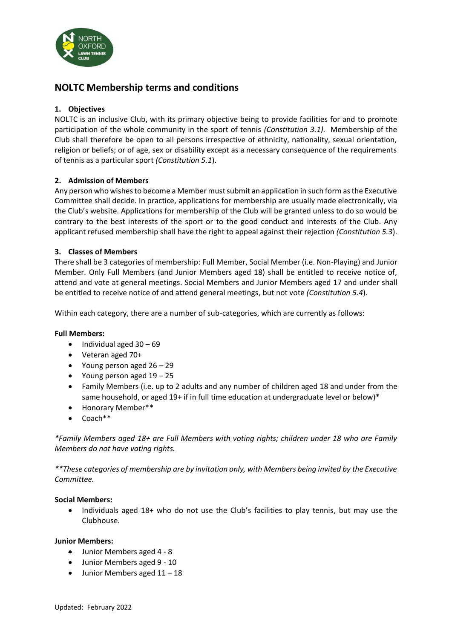

# **NOLTC Membership terms and conditions**

# **1. Objectives**

NOLTC is an inclusive Club, with its primary objective being to provide facilities for and to promote participation of the whole community in the sport of tennis *(Constitution 3.1).* Membership of the Club shall therefore be open to all persons irrespective of ethnicity, nationality, sexual orientation, religion or beliefs; or of age, sex or disability except as a necessary consequence of the requirements of tennis as a particular sport *(Constitution 5.1*).

# **2. Admission of Members**

Any person who wishes to become a Member must submit an application in such form as the Executive Committee shall decide. In practice, applications for membership are usually made electronically, via the Club's website. Applications for membership of the Club will be granted unless to do so would be contrary to the best interests of the sport or to the good conduct and interests of the Club. Any applicant refused membership shall have the right to appeal against their rejection *(Constitution 5.3*).

### **3. Classes of Members**

There shall be 3 categories of membership: Full Member, Social Member (i.e. Non-Playing) and Junior Member. Only Full Members (and Junior Members aged 18) shall be entitled to receive notice of, attend and vote at general meetings. Social Members and Junior Members aged 17 and under shall be entitled to receive notice of and attend general meetings, but not vote *(Constitution 5.4*).

Within each category, there are a number of sub-categories, which are currently as follows:

#### **Full Members:**

- $\bullet$  Individual aged  $30 69$
- Veteran aged 70+
- Young person aged 26 29
- Young person aged 19 25
- Family Members (i.e. up to 2 adults and any number of children aged 18 and under from the same household, or aged 19+ if in full time education at undergraduate level or below)\*
- Honorary Member\*\*
- Coach\*\*

*\*Family Members aged 18+ are Full Members with voting rights; children under 18 who are Family Members do not have voting rights.* 

*\*\*These categories of membership are by invitation only, with Members being invited by the Executive Committee.* 

#### **Social Members:**

• Individuals aged 18+ who do not use the Club's facilities to play tennis, but may use the Clubhouse.

#### **Junior Members:**

- Junior Members aged 4 8
- Junior Members aged 9 10
- Junior Members aged 11 18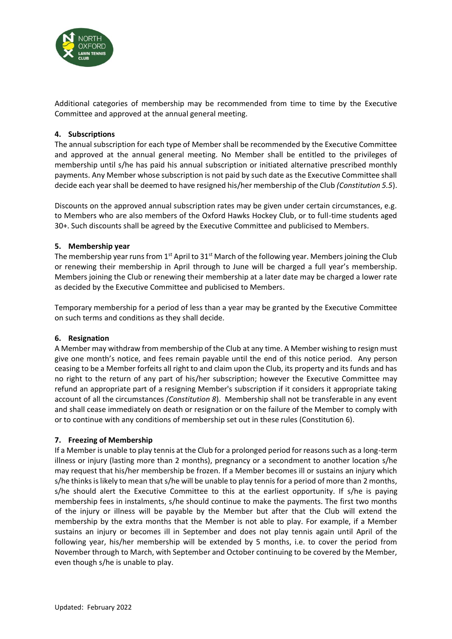

Additional categories of membership may be recommended from time to time by the Executive Committee and approved at the annual general meeting.

### **4. Subscriptions**

The annual subscription for each type of Member shall be recommended by the Executive Committee and approved at the annual general meeting. No Member shall be entitled to the privileges of membership until s/he has paid his annual subscription or initiated alternative prescribed monthly payments. Any Member whose subscription is not paid by such date as the Executive Committee shall decide each year shall be deemed to have resigned his/her membership of the Club *(Constitution 5.5*).

Discounts on the approved annual subscription rates may be given under certain circumstances, e.g. to Members who are also members of the Oxford Hawks Hockey Club, or to full-time students aged 30+. Such discounts shall be agreed by the Executive Committee and publicised to Members.

### **5. Membership year**

The membership year runs from  $1<sup>st</sup>$  April to  $31<sup>st</sup>$  March of the following year. Members joining the Club or renewing their membership in April through to June will be charged a full year's membership. Members joining the Club or renewing their membership at a later date may be charged a lower rate as decided by the Executive Committee and publicised to Members.

Temporary membership for a period of less than a year may be granted by the Executive Committee on such terms and conditions as they shall decide.

# **6. Resignation**

A Member may withdraw from membership of the Club at any time. A Member wishing to resign must give one month's notice, and fees remain payable until the end of this notice period. Any person ceasing to be a Member forfeits all right to and claim upon the Club, its property and its funds and has no right to the return of any part of his/her subscription; however the Executive Committee may refund an appropriate part of a resigning Member's subscription if it considers it appropriate taking account of all the circumstances *(Constitution 8*). Membership shall not be transferable in any event and shall cease immediately on death or resignation or on the failure of the Member to comply with or to continue with any conditions of membership set out in these rules (Constitution 6).

#### **7. Freezing of Membership**

If a Member is unable to play tennis at the Club for a prolonged period for reasons such as a long-term illness or injury (lasting more than 2 months), pregnancy or a secondment to another location s/he may request that his/her membership be frozen. If a Member becomes ill or sustains an injury which s/he thinks is likely to mean that s/he will be unable to play tennis for a period of more than 2 months, s/he should alert the Executive Committee to this at the earliest opportunity. If s/he is paying membership fees in instalments, s/he should continue to make the payments. The first two months of the injury or illness will be payable by the Member but after that the Club will extend the membership by the extra months that the Member is not able to play. For example, if a Member sustains an injury or becomes ill in September and does not play tennis again until April of the following year, his/her membership will be extended by 5 months, i.e. to cover the period from November through to March, with September and October continuing to be covered by the Member, even though s/he is unable to play.